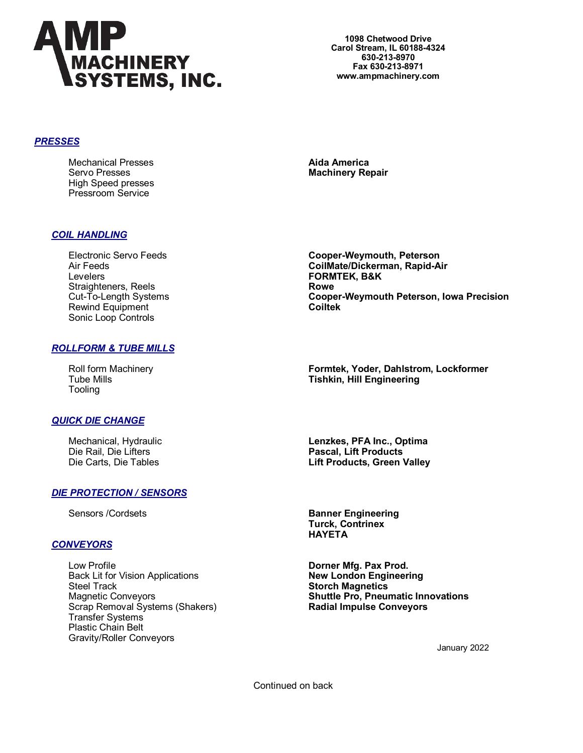

**1098 Chetwood Drive Carol Stream, IL 60188-4324 630-213-8970 Fax 630-213-8971 www.ampmachinery.com**

#### *PRESSES*

Mechanical Presses **Aida America**  Servo Presses **Machinery Repair** High Speed presses Pressroom Service

# *COIL HANDLING*

Levelers **FORMTEK, B&K**  Straighteners, Reels **Rowe**<br>Cut-To-Length Systems **Rowe**<br>**Coop** Rewind Equipment **Coiltek** Sonic Loop Controls

# Electronic Servo Feeds **Cooper-Weymouth, Peterson** Air Feeds **CoilMate/Dickerman, Rapid-Air Cooper-Weymouth Peterson, Iowa Precision**

# *ROLLFORM & TUBE MILLS*

Tooling

Roll form Machinery **Formtek, Yoder, Dahlstrom, Lockformer** Tube Mills **Tishkin, Hill Engineering**

# *QUICK DIE CHANGE*

Mechanical, Hydraulic **Lenzkes, PFA Inc., Optima**

# *DIE PROTECTION / SENSORS*

# *CONVEYORS*

Low Profile **Dorner Mfg. Pax Prod.** Back Lit for Vision Applications<br>Steel Track Steel Track **Storch Magnetics**<br>
Magnetic Conveyors **Shuttle Pro, Pneur**  Scrap Removal Systems (Shakers) **Radial Impulse Conveyors** Transfer Systems Plastic Chain Belt Gravity/Roller Conveyors

Die Rail, Die Lifters **Pascal, Lift Products** Die Carts, Die Tables **Lift Products, Green Valley**

Sensors /Cordsets **Banner Engineering Turck, Contrinex HAYETA**

**Shuttle Pro, Pneumatic Innovations** 

January 2022

Continued on back